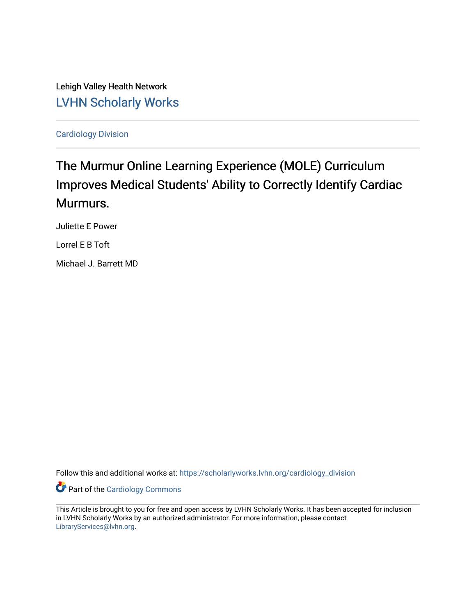Lehigh Valley Health Network [LVHN Scholarly Works](https://scholarlyworks.lvhn.org/)

[Cardiology Division](https://scholarlyworks.lvhn.org/cardiology_division) 

# The Murmur Online Learning Experience (MOLE) Curriculum Improves Medical Students' Ability to Correctly Identify Cardiac Murmurs.

Juliette E Power

Lorrel E B Toft

Michael J. Barrett MD

Follow this and additional works at: [https://scholarlyworks.lvhn.org/cardiology\\_division](https://scholarlyworks.lvhn.org/cardiology_division?utm_source=scholarlyworks.lvhn.org%2Fcardiology_division%2F21&utm_medium=PDF&utm_campaign=PDFCoverPages)

**Part of the [Cardiology Commons](http://network.bepress.com/hgg/discipline/683?utm_source=scholarlyworks.lvhn.org%2Fcardiology_division%2F21&utm_medium=PDF&utm_campaign=PDFCoverPages)** 

This Article is brought to you for free and open access by LVHN Scholarly Works. It has been accepted for inclusion in LVHN Scholarly Works by an authorized administrator. For more information, please contact [LibraryServices@lvhn.org](mailto:LibraryServices@lvhn.org).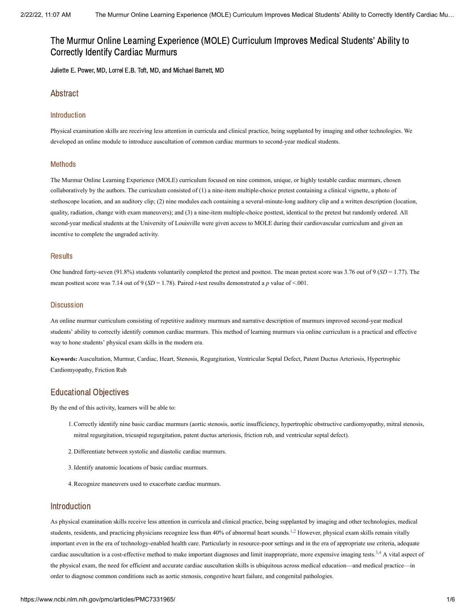# The Murmur Online Learning Experience (MOLE) Curriculum Improves Medical Students' Ability to Correctly Identify Cardiac Murmurs

Juliette E. Power, MD, Lorrel E.B. Toft, MD, and Michael Barrett, MD

# Abstract

### Introduction

Physical examination skills are receiving less attention in curricula and clinical practice, being supplanted by imaging and other technologies. We developed an online module to introduce auscultation of common cardiac murmurs to second-year medical students.

#### Methods

The Murmur Online Learning Experience (MOLE) curriculum focused on nine common, unique, or highly testable cardiac murmurs, chosen collaboratively by the authors. The curriculum consisted of (1) a nine-item multiple-choice pretest containing a clinical vignette, a photo of stethoscope location, and an auditory clip; (2) nine modules each containing a several-minute-long auditory clip and a written description (location, quality, radiation, change with exam maneuvers); and (3) a nine-item multiple-choice posttest, identical to the pretest but randomly ordered. All second-year medical students at the University of Louisville were given access to MOLE during their cardiovascular curriculum and given an incentive to complete the ungraded activity.

### **Results**

One hundred forty-seven (91.8%) students voluntarily completed the pretest and posttest. The mean pretest score was 3.76 out of 9 (*SD* = 1.77). The mean posttest score was 7.14 out of 9 (*SD* = 1.78). Paired *t*-test results demonstrated a *p* value of <.001.

### **Discussion**

An online murmur curriculum consisting of repetitive auditory murmurs and narrative description of murmurs improved second-year medical students' ability to correctly identify common cardiac murmurs. This method of learning murmurs via online curriculum is a practical and effective way to hone students' physical exam skills in the modern era.

**Keywords:** Auscultation, Murmur, Cardiac, Heart, Stenosis, Regurgitation, Ventricular Septal Defect, Patent Ductus Arteriosis, Hypertrophic Cardiomyopathy, Friction Rub

# Educational Objectives

By the end of this activity, learners will be able to:

- Correctly identify nine basic cardiac murmurs (aortic stenosis, aortic insufficiency, hypertrophic obstructive cardiomyopathy, mitral stenosis, 1. mitral regurgitation, tricuspid regurgitation, patent ductus arteriosis, friction rub, and ventricular septal defect).
- 2. Differentiate between systolic and diastolic cardiac murmurs.
- 3.Identify anatomic locations of basic cardiac murmurs.
- 4.Recognize maneuvers used to exacerbate cardiac murmurs.

# Introduction

As physical examination skills receive less attention in curricula and clinical practice, being supplanted by imaging and other technologies, medical students, residents, and practicing physicians recognize less than 40% of abnormal heart sounds.<sup>[1](#page-6-0),[2](#page-6-1)</sup> However, physical exam skills remain vitally important even in the era of technology-enabled health care. Particularly in resource-poor settings and in the era of appropriate use criteria, adequate cardiac auscultation is a cost-effective method to make important diagnoses and limit inappropriate, more expensive imaging tests.<sup>[3](#page-6-2),[4](#page-6-3)</sup> A vital aspect of the physical exam, the need for efficient and accurate cardiac auscultation skills is ubiquitous across medical education—and medical practice—in order to diagnose common conditions such as aortic stenosis, congestive heart failure, and congenital pathologies.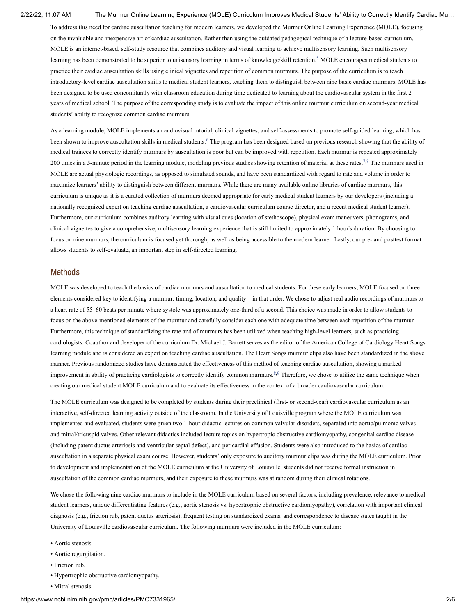#### 2/22/22, 11:07 AM The Murmur Online Learning Experience (MOLE) Curriculum Improves Medical Students' Ability to Correctly Identify Cardiac Mu…

To address this need for cardiac auscultation teaching for modern learners, we developed the Murmur Online Learning Experience (MOLE), focusing on the invaluable and inexpensive art of cardiac auscultation. Rather than using the outdated pedagogical technique of a lecture-based curriculum, MOLE is an internet-based, self-study resource that combines auditory and visual learning to achieve multisensory learning. Such multisensory learning has been demonstrated to be superior to unisensory learning in terms of knowledge/skill retention.<sup>[5](#page-6-4)</sup> MOLE encourages medical students to practice their cardiac auscultation skills using clinical vignettes and repetition of common murmurs. The purpose of the curriculum is to teach introductory-level cardiac auscultation skills to medical student learners, teaching them to distinguish between nine basic cardiac murmurs. MOLE has been designed to be used concomitantly with classroom education during time dedicated to learning about the cardiovascular system in the first 2 years of medical school. The purpose of the corresponding study is to evaluate the impact of this online murmur curriculum on second-year medical students' ability to recognize common cardiac murmurs.

As a learning module, MOLE implements an audiovisual tutorial, clinical vignettes, and self-assessments to promote self-guided learning, which has been shown to improve auscultation skills in medical students. <sup>[6](#page-6-5)</sup> The program has been designed based on previous research showing that the ability of medical trainees to correctly identify murmurs by auscultation is poor but can be improved with repetition. Each murmur is repeated approximately 200 times in a 5-minute period in the learning module, modeling previous studies showing retention of material at these rates.<sup>[7](#page-6-6),[8](#page-6-7)</sup> The murmurs used in MOLE are actual physiologic recordings, as opposed to simulated sounds, and have been standardized with regard to rate and volume in order to maximize learners' ability to distinguish between different murmurs. While there are many available online libraries of cardiac murmurs, this curriculum is unique as it is a curated collection of murmurs deemed appropriate for early medical student learners by our developers (including a nationally recognized expert on teaching cardiac auscultation, a cardiovascular curriculum course director, and a recent medical student learner). Furthermore, our curriculum combines auditory learning with visual cues (location of stethoscope), physical exam maneuvers, phonograms, and clinical vignettes to give a comprehensive, multisensory learning experience that is still limited to approximately 1 hour's duration. By choosing to focus on nine murmurs, the curriculum is focused yet thorough, as well as being accessible to the modern learner. Lastly, our pre- and posttest format allows students to self-evaluate, an important step in self-directed learning.

#### Methods

MOLE was developed to teach the basics of cardiac murmurs and auscultation to medical students. For these early learners, MOLE focused on three elements considered key to identifying a murmur: timing, location, and quality—in that order. We chose to adjust real audio recordings of murmurs to a heart rate of 55–60 beats per minute where systole was approximately one-third of a second. This choice was made in order to allow students to focus on the above-mentioned elements of the murmur and carefully consider each one with adequate time between each repetition of the murmur. Furthermore, this technique of standardizing the rate and of murmurs has been utilized when teaching high-level learners, such as practicing cardiologists. Coauthor and developer of the curriculum Dr. Michael J. Barrett serves as the editor of the American College of Cardiology Heart Songs learning module and is considered an expert on teaching cardiac auscultation. The Heart Songs murmur clips also have been standardized in the above manner. Previous randomized studies have demonstrated the effectiveness of this method of teaching cardiac auscultation, showing a marked improvement in ability of practicing cardiologists to correctly identify common murmurs.<sup>[8](#page-6-7),[9](#page-6-8)</sup> Therefore, we chose to utilize the same technique when creating our medical student MOLE curriculum and to evaluate its effectiveness in the context of a broader cardiovascular curriculum.

The MOLE curriculum was designed to be completed by students during their preclinical (first- or second-year) cardiovascular curriculum as an interactive, self-directed learning activity outside of the classroom. In the University of Louisville program where the MOLE curriculum was implemented and evaluated, students were given two 1-hour didactic lectures on common valvular disorders, separated into aortic/pulmonic valves and mitral/tricuspid valves. Other relevant didactics included lecture topics on hypertropic obstructive cardiomyopathy, congenital cardiac disease (including patent ductus arteriosis and ventricular septal defect), and pericardial effusion. Students were also introduced to the basics of cardiac auscultation in a separate physical exam course. However, students' only exposure to auditory murmur clips was during the MOLE curriculum. Prior to development and implementation of the MOLE curriculum at the University of Louisville, students did not receive formal instruction in auscultation of the common cardiac murmurs, and their exposure to these murmurs was at random during their clinical rotations.

We chose the following nine cardiac murmurs to include in the MOLE curriculum based on several factors, including prevalence, relevance to medical student learners, unique differentiating features (e.g., aortic stenosis vs. hypertrophic obstructive cardiomyopathy), correlation with important clinical diagnosis (e.g., friction rub, patent ductus arteriosis), frequent testing on standardized exams, and correspondence to disease states taught in the University of Louisville cardiovascular curriculum. The following murmurs were included in the MOLE curriculum:

- Aortic stenosis.
- Aortic regurgitation.
- Friction rub.
- Hypertrophic obstructive cardiomyopathy.
- Mitral stenosis.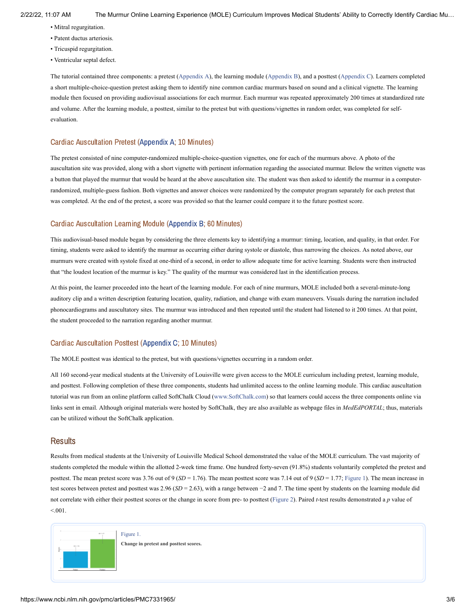- Mitral regurgitation.
- Patent ductus arteriosis.
- Tricuspid regurgitation.
- Ventricular septal defect.

The tutorial contained three components: a pretest ([Appendix](#page-5-0) A), the learning module ([Appendix](#page-5-1) B), and a posttest [\(Appendix](#page-5-2) C). Learners completed a short multiple-choice-question pretest asking them to identify nine common cardiac murmurs based on sound and a clinical vignette. The learning module then focused on providing audiovisual associations for each murmur. Each murmur was repeated approximately 200 times at standardized rate and volume. After the learning module, a posttest, similar to the pretest but with questions/vignettes in random order, was completed for selfevaluation.

### Cardiac Auscultation Pretest [\(Appendix](#page-5-0) A; 10 Minutes)

The pretest consisted of nine computer-randomized multiple-choice-question vignettes, one for each of the murmurs above. A photo of the auscultation site was provided, along with a short vignette with pertinent information regarding the associated murmur. Below the written vignette was a button that played the murmur that would be heard at the above auscultation site. The student was then asked to identify the murmur in a computerrandomized, multiple-guess fashion. Both vignettes and answer choices were randomized by the computer program separately for each pretest that was completed. At the end of the pretest, a score was provided so that the learner could compare it to the future posttest score.

#### Cardiac Auscultation Learning Module [\(Appendix](#page-5-0) B; 60 Minutes)

This audiovisual-based module began by considering the three elements key to identifying a murmur: timing, location, and quality, in that order. For timing, students were asked to identify the murmur as occurring either during systole or diastole, thus narrowing the choices. As noted above, our murmurs were created with systole fixed at one-third of a second, in order to allow adequate time for active learning. Students were then instructed that "the loudest location of the murmur is key." The quality of the murmur was considered last in the identification process.

At this point, the learner proceeded into the heart of the learning module. For each of nine murmurs, MOLE included both a several-minute-long auditory clip and a written description featuring location, quality, radiation, and change with exam maneuvers. Visuals during the narration included phonocardiograms and auscultatory sites. The murmur was introduced and then repeated until the student had listened to it 200 times. At that point, the student proceeded to the narration regarding another murmur.

#### Cardiac Auscultation Posttest ([Appendix](#page-5-0) C; 10 Minutes)

The MOLE posttest was identical to the pretest, but with questions/vignettes occurring in a random order.

All 160 second-year medical students at the University of Louisville were given access to the MOLE curriculum including pretest, learning module, and posttest. Following completion of these three components, students had unlimited access to the online learning module. This cardiac auscultation tutorial was run from an online platform called SoftChalk Cloud ([www.SoftChalk.com](http://www.softchalk.com/)) so that learners could access the three components online via links sent in email. Although original materials were hosted by SoftChalk, they are also available as webpage files in *MedEdPORTAL*; thus, materials can be utilized without the SoftChalk application.

#### Results

Results from medical students at the University of Louisville Medical School demonstrated the value of the MOLE curriculum. The vast majority of students completed the module within the allotted 2-week time frame. One hundred forty-seven (91.8%) students voluntarily completed the pretest and posttest. The mean pretest score was 3.76 out of 9 (*SD* = 1.76). The mean posttest score was 7.14 out of 9 (*SD* = 1.77; [Figure](https://www.ncbi.nlm.nih.gov/pmc/articles/PMC7331965/figure/f1/?report=objectonly) 1). The mean increase in test scores between pretest and posttest was 2.96 (*SD* = 2.63), with a range between −2 and 7. The time spent by students on the learning module did not correlate with either their posttest scores or the change in score from pre- to posttest ([Figure](https://www.ncbi.nlm.nih.gov/pmc/articles/PMC7331965/figure/f2/?report=objectonly) 2). Paired *t*-test results demonstrated a *p* value of  $< 0.01$ .



[Figure](https://www.ncbi.nlm.nih.gov/pmc/articles/PMC7331965/figure/f1/?report=objectonly) 1. **Change in pretest and posttest scores.**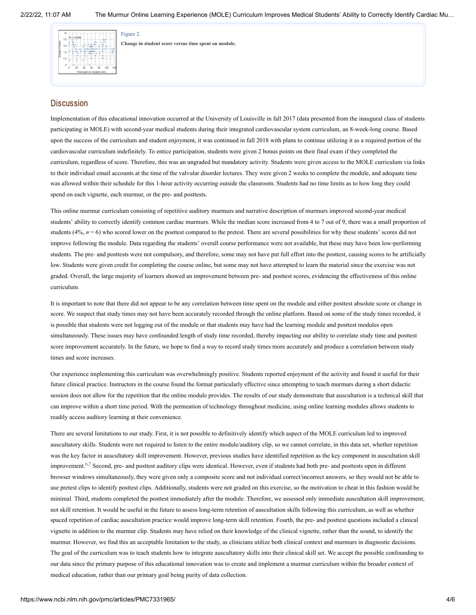

[Figure](https://www.ncbi.nlm.nih.gov/pmc/articles/PMC7331965/figure/f2/?report=objectonly) 2.

**Change in student score versus time spent on module.**

## **Discussion**

Implementation of this educational innovation occurred at the University of Louisville in fall 2017 (data presented from the inaugural class of students participating in MOLE) with second-year medical students during their integrated cardiovascular system curriculum, an 8-week-long course. Based upon the success of the curriculum and student enjoyment, it was continued in fall 2018 with plans to continue utilizing it as a required portion of the cardiovascular curriculum indefinitely. To entice participation, students were given 2 bonus points on their final exam if they completed the curriculum, regardless of score. Therefore, this was an ungraded but mandatory activity. Students were given access to the MOLE curriculum via links to their individual email accounts at the time of the valvular disorder lectures. They were given 2 weeks to complete the module, and adequate time was allowed within their schedule for this 1-hour activity occurring outside the classroom. Students had no time limits as to how long they could spend on each vignette, each murmur, or the pre- and posttests.

This online murmur curriculum consisting of repetitive auditory murmurs and narrative description of murmurs improved second-year medical students' ability to correctly identify common cardiac murmurs. While the median score increased from 4 to 7 out of 9, there was a small proportion of students  $(4\%, n = 6)$  who scored lower on the posttest compared to the pretest. There are several possibilities for why these students' scores did not improve following the module. Data regarding the students' overall course performance were not available, but these may have been low-performing students. The pre- and posttests were not compulsory, and therefore, some may not have put full effort into the posttest, causing scores to be artificially low. Students were given credit for completing the course online, but some may not have attempted to learn the material since the exercise was not graded. Overall, the large majority of learners showed an improvement between pre- and posttest scores, evidencing the effectiveness of this online curriculum.

It is important to note that there did not appear to be any correlation between time spent on the module and either posttest absolute score or change in score. We suspect that study times may not have been accurately recorded through the online platform. Based on some of the study times recorded, it is possible that students were not logging out of the module or that students may have had the learning module and posttest modules open simultaneously. These issues may have confounded length of study time recorded, thereby impacting our ability to correlate study time and posttest score improvement accurately. In the future, we hope to find a way to record study times more accurately and produce a correlation between study times and score increases.

Our experience implementing this curriculum was overwhelmingly positive. Students reported enjoyment of the activity and found it useful for their future clinical practice. Instructors in the course found the format particularly effective since attempting to teach murmurs during a short didactic session does not allow for the repetition that the online module provides. The results of our study demonstrate that auscultation is a technical skill that can improve within a short time period. With the permeation of technology throughout medicine, using online learning modules allows students to readily access auditory learning at their convenience.

There are several limitations to our study. First, it is not possible to definitively identify which aspect of the MOLE curriculum led to improved auscultatory skills. Students were not required to listen to the entire module/auditory clip, so we cannot correlate, in this data set, whether repetition was the key factor in auscultatory skill improvement. However, previous studies have identified repetition as the key component in auscultation skill improvement.<sup>[6,](#page-6-5)[7](#page-6-6)</sup> Second, pre- and posttest auditory clips were identical. However, even if students had both pre- and posttests open in different browser windows simultaneously, they were given only a composite score and not individual correct/incorrect answers, so they would not be able to use pretest clips to identify posttest clips. Additionally, students were not graded on this exercise, so the motivation to cheat in this fashion would be minimal. Third, students completed the posttest immediately after the module. Therefore, we assessed only immediate auscultation skill improvement, not skill retention. It would be useful in the future to assess long-term retention of auscultation skills following this curriculum, as well as whether spaced repetition of cardiac auscultation practice would improve long-term skill retention. Fourth, the pre- and posttest questions included a clinical vignette in addition to the murmur clip. Students may have relied on their knowledge of the clinical vignette, rather than the sound, to identify the murmur. However, we find this an acceptable limitation to the study, as clinicians utilize both clinical context and murmurs in diagnostic decisions. The goal of the curriculum was to teach students how to integrate auscultatory skills into their clinical skill set. We accept the possible confounding to our data since the primary purpose of this educational innovation was to create and implement a murmur curriculum within the broader context of medical education, rather than our primary goal being purity of data collection.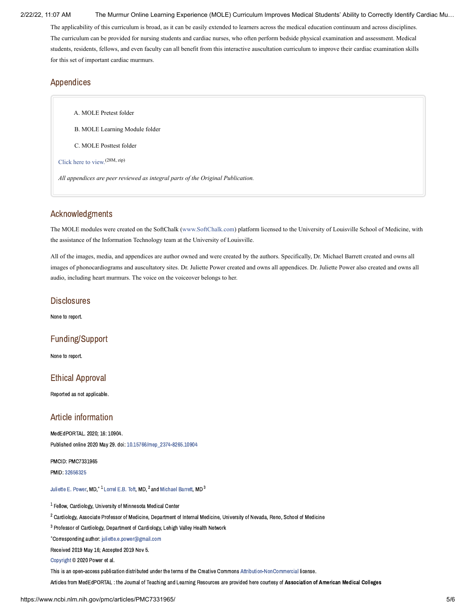2/22/22, 11:07 AM The Murmur Online Learning Experience (MOLE) Curriculum Improves Medical Students' Ability to Correctly Identify Cardiac Mu…

The applicability of this curriculum is broad, as it can be easily extended to learners across the medical education continuum and across disciplines. The curriculum can be provided for nursing students and cardiac nurses, who often perform bedside physical examination and assessment. Medical students, residents, fellows, and even faculty can all benefit from this interactive auscultation curriculum to improve their cardiac examination skills for this set of important cardiac murmurs.

# Appendices

<span id="page-5-0"></span>A. MOLE Pretest folder

<span id="page-5-1"></span>B. MOLE Learning Module folder

<span id="page-5-2"></span>C. MOLE Posttest folder

[Click](https://www.ncbi.nlm.nih.gov/pmc/articles/PMC7331965/bin/mep_2374-8265.10904-s001.zip) here to view. (28M, zip)

*All appendices are peer reviewed as integral parts of the Original Publication.*

# Acknowledgments

The MOLE modules were created on the SoftChalk [\(www.SoftChalk.com](http://www.softchalk.com/)) platform licensed to the University of Louisville School of Medicine, with the assistance of the Information Technology team at the University of Louisville.

All of the images, media, and appendices are author owned and were created by the authors. Specifically, Dr. Michael Barrett created and owns all images of phonocardiograms and auscultatory sites. Dr. Juliette Power created and owns all appendices. Dr. Juliette Power also created and owns all audio, including heart murmurs. The voice on the voiceover belongs to her.

# **Disclosures**

None to report.

# Funding/Support

None to report.

# Ethical Approval

Reported as not applicable.

# Article information

MedEdPORTAL. 2020; 16: 10904. Published online 2020 May 29. doi: [10.15766/mep\\_2374-8265.10904](https://dx.doi.org/10.15766%2Fmep_2374-8265.10904)

PMCID: PMC7331965 PMID: [32656325](https://www.ncbi.nlm.nih.gov/pubmed/32656325)

[Juliette](https://www.ncbi.nlm.nih.gov/pubmed/?term=Power%20JE%5BAuthor%5D&cauthor=true&cauthor_uid=32656325) E. Power, MD. $^*$   $^1$  [Lorrel](https://www.ncbi.nlm.nih.gov/pubmed/?term=Toft%20LE%5BAuthor%5D&cauthor=true&cauthor_uid=32656325) E.B. Toft, MD.  $^2$  and [Michael](https://www.ncbi.nlm.nih.gov/pubmed/?term=Barrett%20M%5BAuthor%5D&cauthor=true&cauthor_uid=32656325) Barrett, MD  $^3$ 

 $^{\rm 1}$  Fellow, Cardiology, University of Minnesota Medical Center

 $^2$  Cardiology, Associate Professor of Medicine, Department of Internal Medicine, University of Nevada, Reno, School of Medicine

<sup>3</sup> Professor of Cardiology, Department of Cardiology, Lehigh Valley Health Network

Corresponding author: [juliette.e.power@gmail.com](mailto:dev@null) ∗

Received 2019 May 16; Accepted 2019 Nov 5.

[Copyright](https://www.ncbi.nlm.nih.gov/pmc/about/copyright/) © 2020 Power et al.

This is an open-access publication distributed under the terms of the Creative Commons [Attribution-NonCommercial](https://creativecommons.org/licenses/by-nc/4.0/) license.

Articles from MedEdPORTAL : the Journal of Teaching and Learning Resources are provided here courtesy of Association of American Medical Colleges